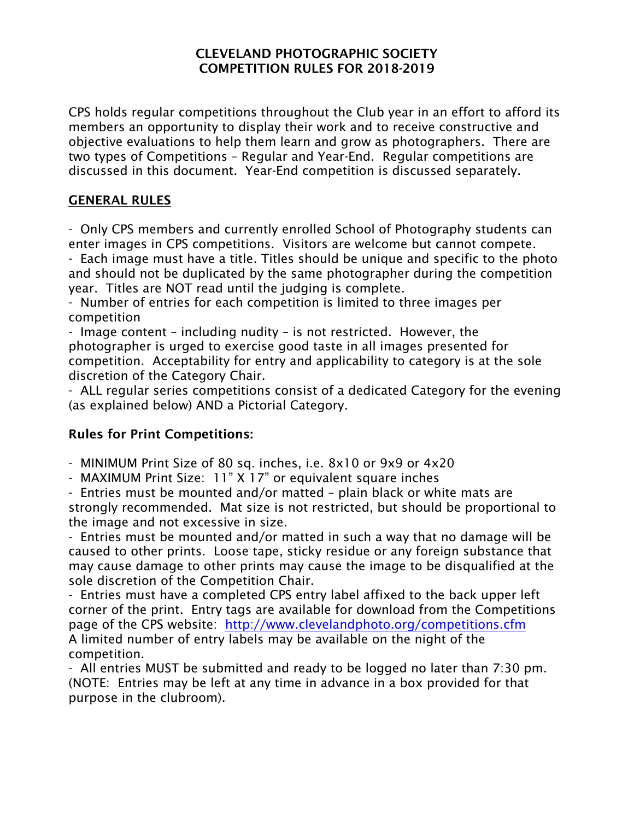## CLEVELAND PHOTOGRAPHIC SOCIETY COMPETITION RULES FOR 2018-2019

CPS holds regular competitions throughout the Club year in an effort to afford its members an opportunity to display their work and to receive constructive and objective evaluations to help them learn and grow as photographers. There are two types of Competitions – Regular and Year-End. Regular competitions are discussed in this document. Year-End competition is discussed separately.

# GENERAL RULES

- Only CPS members and currently enrolled School of Photography students can enter images in CPS competitions. Visitors are welcome but cannot compete.

- Each image must have a title. Titles should be unique and specific to the photo and should not be duplicated by the same photographer during the competition year. Titles are NOT read until the judging is complete.

- Number of entries for each competition is limited to three images per competition

- Image content – including nudity – is not restricted. However, the photographer is urged to exercise good taste in all images presented for competition. Acceptability for entry and applicability to category is at the sole discretion of the Category Chair.

- ALL regular series competitions consist of a dedicated Category for the evening (as explained below) AND a Pictorial Category.

# Rules for Print Competitions:

- MINIMUM Print Size of 80 sq. inches, i.e. 8x10 or 9x9 or 4x20

- MAXIMUM Print Size: 11" X 17" or equivalent square inches

- Entries must be mounted and/or matted – plain black or white mats are strongly recommended. Mat size is not restricted, but should be proportional to the image and not excessive in size.

- Entries must be mounted and/or matted in such a way that no damage will be caused to other prints. Loose tape, sticky residue or any foreign substance that may cause damage to other prints may cause the image to be disqualified at the sole discretion of the Competition Chair.

- Entries must have a completed CPS entry label affixed to the back upper left corner of the print. Entry tags are available for download from the Competitions page of the CPS website: http://www.clevelandphoto.org/competitions.cfm A limited number of entry labels may be available on the night of the competition.

- All entries MUST be submitted and ready to be logged no later than 7:30 pm. (NOTE: Entries may be left at any time in advance in a box provided for that purpose in the clubroom).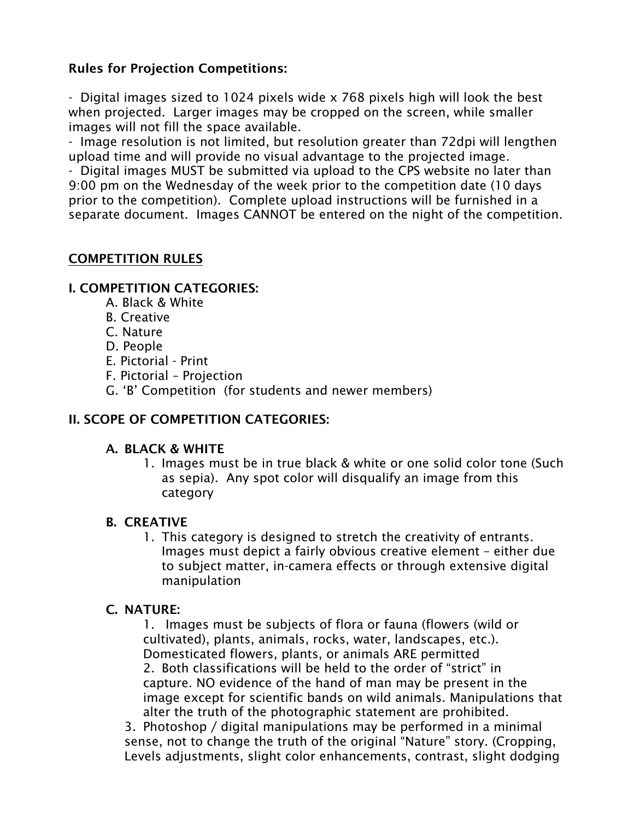# Rules for Projection Competitions:

- Digital images sized to 1024 pixels wide x 768 pixels high will look the best when projected. Larger images may be cropped on the screen, while smaller images will not fill the space available.

- Image resolution is not limited, but resolution greater than 72dpi will lengthen upload time and will provide no visual advantage to the projected image.

- Digital images MUST be submitted via upload to the CPS website no later than 9:00 pm on the Wednesday of the week prior to the competition date (10 days prior to the competition). Complete upload instructions will be furnished in a separate document. Images CANNOT be entered on the night of the competition.

## COMPETITION RULES

## I. COMPETITION CATEGORIES:

- A. Black & White
- B. Creative
- C. Nature
- D. People
- E. Pictorial Print
- F. Pictorial Projection
- G. 'B' Competition (for students and newer members)

## II. SCOPE OF COMPETITION CATEGORIES:

#### A. BLACK & WHITE

1. Images must be in true black & white or one solid color tone (Such as sepia). Any spot color will disqualify an image from this category

## B. CREATIVE

1. This category is designed to stretch the creativity of entrants. Images must depict a fairly obvious creative element – either due to subject matter, in-camera effects or through extensive digital manipulation

## C. NATURE:

1. Images must be subjects of flora or fauna (flowers (wild or cultivated), plants, animals, rocks, water, landscapes, etc.). Domesticated flowers, plants, or animals ARE permitted 2. Both classifications will be held to the order of "strict" in capture. NO evidence of the hand of man may be present in the image except for scientific bands on wild animals. Manipulations that alter the truth of the photographic statement are prohibited.

3. Photoshop / digital manipulations may be performed in a minimal sense, not to change the truth of the original "Nature" story. (Cropping, Levels adjustments, slight color enhancements, contrast, slight dodging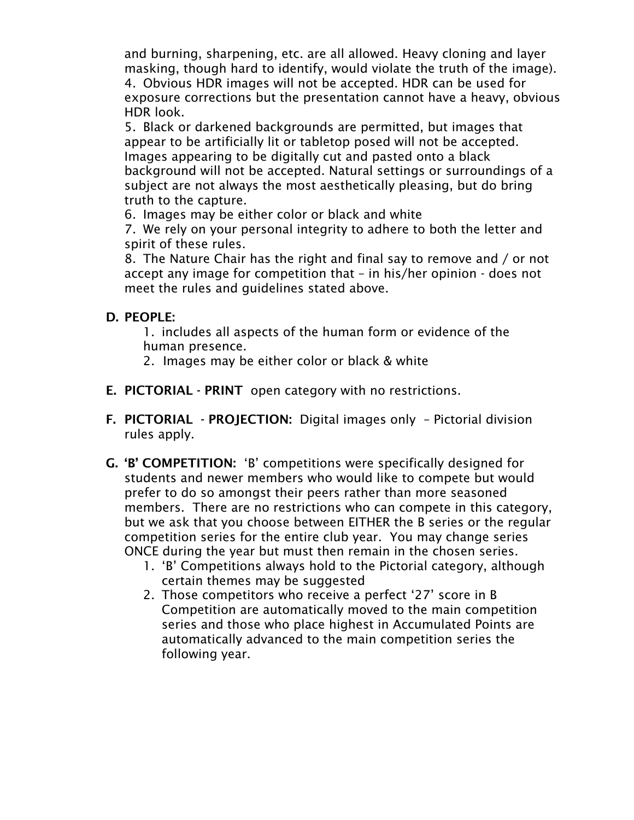and burning, sharpening, etc. are all allowed. Heavy cloning and layer masking, though hard to identify, would violate the truth of the image). 4. Obvious HDR images will not be accepted. HDR can be used for exposure corrections but the presentation cannot have a heavy, obvious HDR look.

5. Black or darkened backgrounds are permitted, but images that appear to be artificially lit or tabletop posed will not be accepted. Images appearing to be digitally cut and pasted onto a black background will not be accepted. Natural settings or surroundings of a subject are not always the most aesthetically pleasing, but do bring truth to the capture.

6. Images may be either color or black and white

7. We rely on your personal integrity to adhere to both the letter and spirit of these rules.

8. The Nature Chair has the right and final say to remove and / or not accept any image for competition that – in his/her opinion - does not meet the rules and guidelines stated above.

## D. PEOPLE:

1. includes all aspects of the human form or evidence of the human presence.

- 2.Images may be either color or black & white
- E. PICTORIAL PRINT open category with no restrictions.
- F. PICTORIAL PROJECTION: Digital images only Pictorial division rules apply.
- G. 'B' COMPETITION: 'B' competitions were specifically designed for students and newer members who would like to compete but would prefer to do so amongst their peers rather than more seasoned members. There are no restrictions who can compete in this category, but we ask that you choose between EITHER the B series or the regular competition series for the entire club year. You may change series ONCE during the year but must then remain in the chosen series.
	- 1. 'B' Competitions always hold to the Pictorial category, although certain themes may be suggested
	- 2. Those competitors who receive a perfect '27' score in B Competition are automatically moved to the main competition series and those who place highest in Accumulated Points are automatically advanced to the main competition series the following year.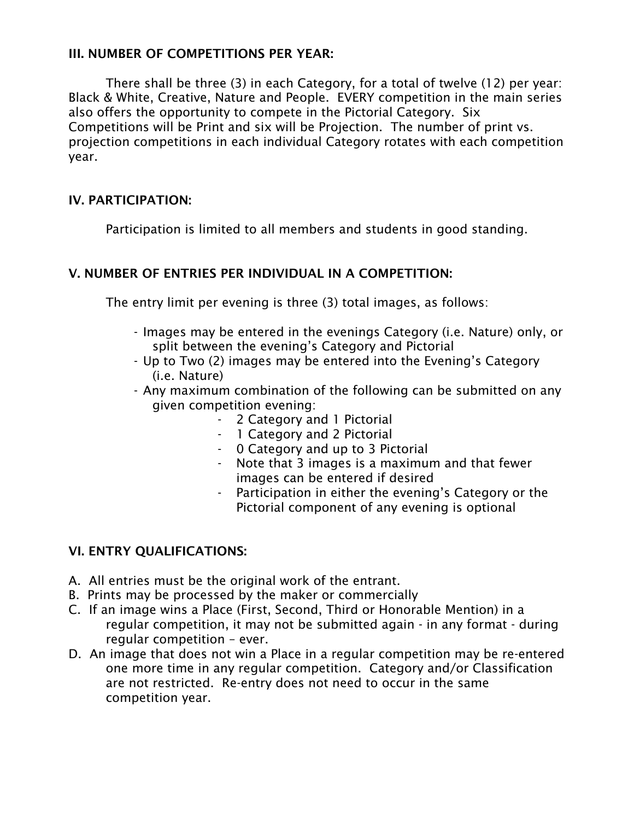## III. NUMBER OF COMPETITIONS PER YEAR:

There shall be three (3) in each Category, for a total of twelve (12) per year: Black & White, Creative, Nature and People. EVERY competition in the main series also offers the opportunity to compete in the Pictorial Category. Six Competitions will be Print and six will be Projection. The number of print vs. projection competitions in each individual Category rotates with each competition year.

# IV. PARTICIPATION:

Participation is limited to all members and students in good standing.

## V. NUMBER OF ENTRIES PER INDIVIDUAL IN A COMPETITION:

The entry limit per evening is three (3) total images, as follows:

- Images may be entered in the evenings Category (i.e. Nature) only, or split between the evening's Category and Pictorial
- Up to Two (2) images may be entered into the Evening's Category (i.e. Nature)
- Any maximum combination of the following can be submitted on any given competition evening:
	- 2 Category and 1 Pictorial
	- 1 Category and 2 Pictorial
	- 0 Category and up to 3 Pictorial
	- Note that 3 images is a maximum and that fewer images can be entered if desired
	- Participation in either the evening's Category or the Pictorial component of any evening is optional

# VI. ENTRY QUALIFICATIONS:

- A. All entries must be the original work of the entrant.
- B. Prints may be processed by the maker or commercially
- C. If an image wins a Place (First, Second, Third or Honorable Mention) in a regular competition, it may not be submitted again - in any format - during regular competition – ever.
- D. An image that does not win a Place in a regular competition may be re-entered one more time in any regular competition. Category and/or Classification are not restricted. Re-entry does not need to occur in the same competition year.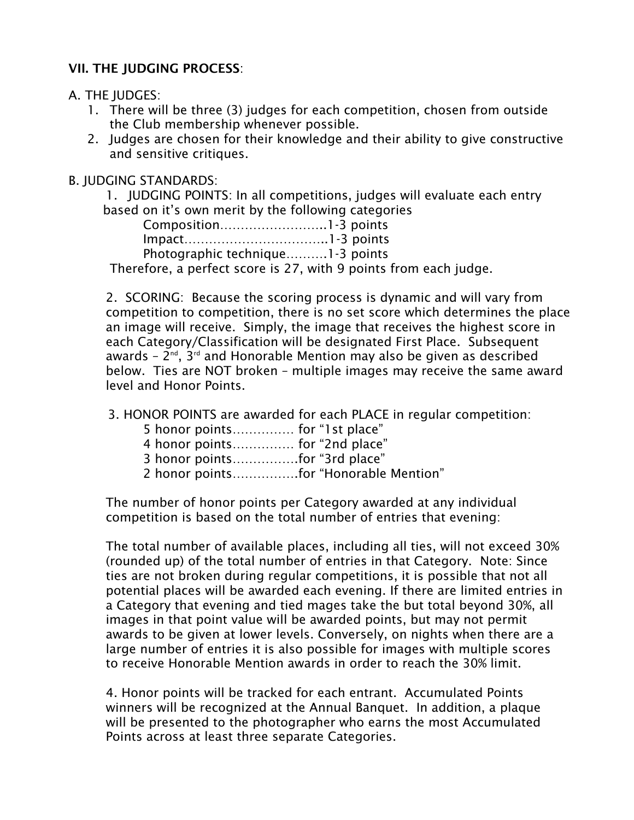# VII. THE JUDGING PROCESS:

#### A. THE JUDGES:

- 1. There will be three (3) judges for each competition, chosen from outside the Club membership whenever possible.
- 2. Judges are chosen for their knowledge and their ability to give constructive and sensitive critiques.

#### B. JUDGING STANDARDS:

1. JUDGING POINTS: In all competitions, judges will evaluate each entry based on it's own merit by the following categories

| Photographic technique1-3 points                   |  |
|----------------------------------------------------|--|
| Thorofore, a norfact coare is 27 with 0 nointe fre |  |

Therefore, a perfect score is 27, with 9 points from each judge.

2. SCORING: Because the scoring process is dynamic and will vary from competition to competition, there is no set score which determines the place an image will receive. Simply, the image that receives the highest score in each Category/Classification will be designated First Place. Subsequent awards -  $2^{nd}$ ,  $3^{rd}$  and Honorable Mention may also be given as described below. Ties are NOT broken – multiple images may receive the same award level and Honor Points.

3. HONOR POINTS are awarded for each PLACE in regular competition:

| 5 honor points for "1st place" |  |  |
|--------------------------------|--|--|
|--------------------------------|--|--|

4 honor points…………… for "2nd place"

3 honor points…………….for "3rd place"

2 honor points…………….for "Honorable Mention"

The number of honor points per Category awarded at any individual competition is based on the total number of entries that evening:

The total number of available places, including all ties, will not exceed 30% (rounded up) of the total number of entries in that Category. Note: Since ties are not broken during regular competitions, it is possible that not all potential places will be awarded each evening. If there are limited entries in a Category that evening and tied mages take the but total beyond 30%, all images in that point value will be awarded points, but may not permit awards to be given at lower levels. Conversely, on nights when there are a large number of entries it is also possible for images with multiple scores to receive Honorable Mention awards in order to reach the 30% limit.

4. Honor points will be tracked for each entrant. Accumulated Points winners will be recognized at the Annual Banquet. In addition, a plaque will be presented to the photographer who earns the most Accumulated Points across at least three separate Categories.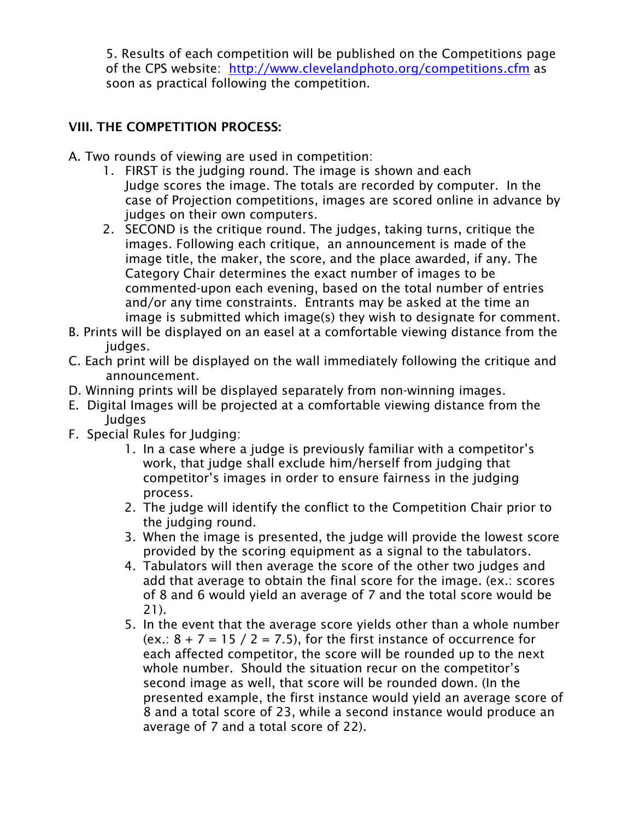5. Results of each competition will be published on the Competitions page of the CPS website: http://www.clevelandphoto.org/competitions.cfm as soon as practical following the competition.

# VIII. THE COMPETITION PROCESS:

- A. Two rounds of viewing are used in competition:
	- 1. FIRST is the judging round. The image is shown and each Judge scores the image. The totals are recorded by computer. In the case of Projection competitions, images are scored online in advance by judges on their own computers.
	- 2. SECOND is the critique round. The judges, taking turns, critique the images. Following each critique, an announcement is made of the image title, the maker, the score, and the place awarded, if any. The Category Chair determines the exact number of images to be commented-upon each evening, based on the total number of entries and/or any time constraints. Entrants may be asked at the time an image is submitted which image(s) they wish to designate for comment.
- B. Prints will be displayed on an easel at a comfortable viewing distance from the judges.
- C. Each print will be displayed on the wall immediately following the critique and announcement.
- D. Winning prints will be displayed separately from non-winning images.
- E. Digital Images will be projected at a comfortable viewing distance from the Judges
- F. Special Rules for Judging:
	- 1. In a case where a judge is previously familiar with a competitor's work, that judge shall exclude him/herself from judging that competitor's images in order to ensure fairness in the judging process.
	- 2. The judge will identify the conflict to the Competition Chair prior to the judging round.
	- 3. When the image is presented, the judge will provide the lowest score provided by the scoring equipment as a signal to the tabulators.
	- 4. Tabulators will then average the score of the other two judges and add that average to obtain the final score for the image. (ex.: scores of 8 and 6 would yield an average of 7 and the total score would be 21).
	- 5. In the event that the average score yields other than a whole number (ex.:  $8 + 7 = 15 / 2 = 7.5$ ), for the first instance of occurrence for each affected competitor, the score will be rounded up to the next whole number. Should the situation recur on the competitor's second image as well, that score will be rounded down. (In the presented example, the first instance would yield an average score of 8 and a total score of 23, while a second instance would produce an average of 7 and a total score of 22).